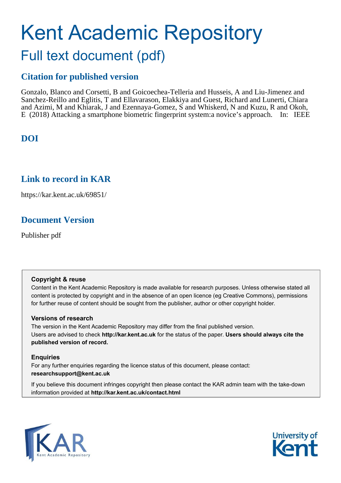# Kent Academic Repository Full text document (pdf)

## **Citation for published version**

Gonzalo, Blanco and Corsetti, B and Goicoechea-Telleria and Husseis, A and Liu-Jimenez and Sanchez-Reillo and Eglitis, T and Ellavarason, Elakkiya and Guest, Richard and Lunerti, Chiara and Azimi, M and Khiarak, J and Ezennaya-Gomez, S and Whiskerd, N and Kuzu, R and Okoh, E (2018) Attacking a smartphone biometric fingerprint system:a novice's approach. In: IEEE

## **DOI**

### **Link to record in KAR**

https://kar.kent.ac.uk/69851/

## **Document Version**

Publisher pdf

#### **Copyright & reuse**

Content in the Kent Academic Repository is made available for research purposes. Unless otherwise stated all content is protected by copyright and in the absence of an open licence (eg Creative Commons), permissions for further reuse of content should be sought from the publisher, author or other copyright holder.

#### **Versions of research**

The version in the Kent Academic Repository may differ from the final published version. Users are advised to check **http://kar.kent.ac.uk** for the status of the paper. **Users should always cite the published version of record.**

#### **Enquiries**

For any further enquiries regarding the licence status of this document, please contact: **researchsupport@kent.ac.uk**

If you believe this document infringes copyright then please contact the KAR admin team with the take-down information provided at **http://kar.kent.ac.uk/contact.html**



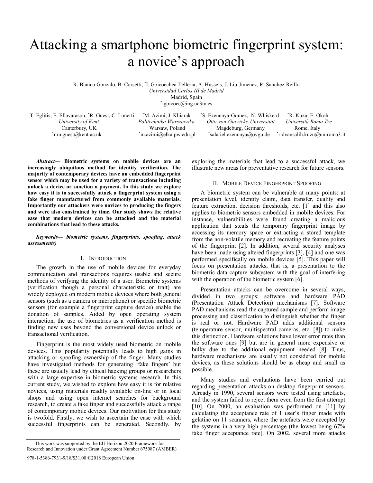## Attacking a smartphone biometric fingerprint system: a novice's approach

R. Blanco Gonzalo, B. Corsetti, \* I. Goicoechea-Telleria, A. Husseis, J. Liu-Jimenez, R. Sanchez-Reillo *Universidad Carlos III de Madrid*  Madrid, Spain

\* igoicoec@ing.uc3m.es

\*r.m.guest@kent.ac.uk

\*m.azimi@elka.pw.edu.pl

T. Eglitis, E. Ellavarason, \*R. Guest, C. Lunerti \*M. Azimi, J. Khiarak \*S. Ezennaya-Gomez, N. Whiskerd \*R. Kuzu, E. Okoh *University of Kent* Politechnika Warszawska Otto-von-Guericke-Universität Università Roma Tre Canterbury, UK Warsaw, Poland Magdeburg, Germany Rome, Italy Warsaw, Poland Magdeburg, Germany Rome, Italy salatiel.ezennaya@ovgu.de \* ridvansalih.kuzu@uniroma3.it

*Abstract***ó Biometric systems on mobile devices are an increasingly ubiquitous method for identity verification. The majority of contemporary devices have an embedded fingerprint sensor which may be used for a variety of transactions including unlock a device or sanction a payment. In this study we explore how easy it is to successfully attack a fingerprint system using a fake finger manufactured from commonly available materials. Importantly our attackers were novices to producing the fingers and were also constrained by time. Our study shows the relative ease that modern devices can be attacked and the material combinations that lead to these attacks.** 

#### Keywords- biometric systems, fingerprints, spoofing, attack *assessments)*

#### I. INTRODUCTION

The growth in the use of mobile devices for everyday communication and transactions requires usable and secure methods of verifying the identity of a user. Biometric systems (verification though a personal characteristic or trait) are widely deployed on modern mobile devices where both general sensors (such as a camera or microphone) or specific biometric sensors (for example a fingerprint capture device) enable the donation of samples. Aided by open operating system interaction, the use of biometrics as a verification method is finding new uses beyond the conversional device unlock or transactional verification.

Fingerprint is the most widely used biometric on mobile devices. This popularity potentially leads to high gains in attacking or spoofing ownership of the finger. Many studies have investigated methods for generating 'fake fingers' but these are usually lead by ethical hacking groups or researchers with a large expertise in biometric systems research. In this current study, we wished to explore how easy it is for relative novices, using materials readily available on-line or in local shops and using open internet searches for background research, to create a fake finger and successfully attack a range of contemporary mobile devices. Our motivation for this study is twofold. Firstly, we wish to ascertain the ease with which successful fingerprints can be generated. Secondly, by

exploring the materials that lead to a successful attack, we illustrate new areas for preventative research for future sensors.

#### II. MOBILE DEVICE FINGERPRINT SPOOFING

A biometric system can be vulnerable at many points: at presentation level, identity claim, data transfer, quality and feature extraction, decision thresholds, etc. [1] and this also applies to biometric sensors embedded in mobile devices. For instance, vulnerabilities were found creating a malicious application that steals the temporary fingerprint image by accessing its memory space or extracting a stored template from the non-volatile memory and recreating the feature points of the fingerprint [2]. In addition, several security analyses have been made using altered fingerprints [3], [4] and one was performed specifically on mobile devices [5]. This paper will focus on presentation attacks, that is, a presentation to the biometric data capture subsystem with the goal of interfering with the operation of the biometric system [6].

Presentation attacks can be overcome in several ways, divided in two groups: software and hardware PAD (Presentation Attack Detection) mechanisms [7]. Software PAD mechanisms read the captured sample and perform image processing and classification to distinguish whether the finger is real or not. Hardware PAD adds additional sensors (temperature sensor, multispectral cameras, etc. [8]) to make this distinction. Hardware solutions have lower error rates than the software ones [9] but are in general more expensive or bulky due to the additional equipment needed [8]. Thus, hardware mechanisms are usually not considered for mobile devices, as these solutions should be as cheap and small as possible.

Many studies and evaluations have been carried out regarding presentation attacks on desktop fingerprint sensors. Already in 1990, several sensors were tested using artefacts, and the system failed to reject them even from the first attempt [10]. On 2000, an evaluation was performed on [11] by calculating the acceptance rate of 1 user's finger made with gelatine on 11 scanners, where the artefacts were accepted by the systems in a very high percentage (the lowest being 67% fake finger acceptance rate). On 2002, several more attacks

This work was supported by the EU Horizon 2020 Framework for Research and Innovation under Grant Agreement Number 675087 (AMBER)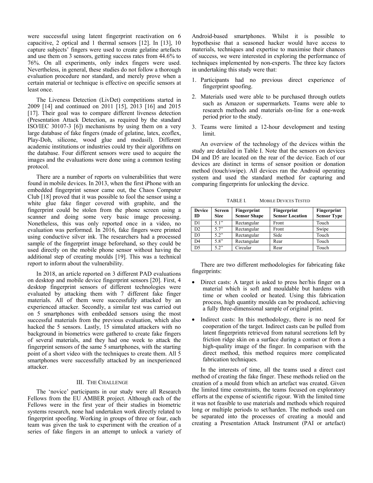were successful using latent fingerprint reactivation on 6 capacitive, 2 optical and 1 thermal sensors [12]. In [13], 10 capture subjects' fingers were used to create gelatine artefacts and use them on 3 sensors, getting success rates from 44.6% to 76%. On all experiments, only index fingers were used. Nevertheless, in general, these studies do not follow a thorough evaluation procedure nor standard, and merely prove when a certain material or technique is effective on specific sensors at least once.

The Liveness Detection (LivDet) competitions started in 2009 [14] and continued on 2011 [15], 2013 [16] and 2015 [17]. Their goal was to compare different liveness detection (Presentation Attack Detection, as required by the standard ISO/IEC 30107-3 [6]) mechanisms by using them on a very large database of fake fingers (made of gelatine, latex, ecoflex, Play-Doh, silicone, wood glue and modasil). Different academic institutions or industries could try their algorithms on the database. Four different sensors were used to acquire the images and the evaluations were done using a common testing protocol.

There are a number of reports on vulnerabilities that were found in mobile devices. In 2013, when the first iPhone with an embedded fingerprint sensor came out, the Chaos Computer Club [18] proved that it was possible to fool the sensor using a white glue fake finger covered with graphite, and the fingerprint could be stolen from the phone screen using a scanner and doing some very basic image processing. Nonetheless, this was only reported once in a video, no evaluation was performed. In 2016, fake fingers were printed using conductive silver ink. The researchers had a processed sample of the fingerprint image beforehand, so they could be used directly on the mobile phone sensor without having the additional step of creating moulds [19]. This was a technical report to inform about the vulnerability.

In 2018, an article reported on 3 different PAD evaluations on desktop and mobile device fingerprint sensors [20]. First, 4 desktop fingerprint sensors of different technologies were evaluated by attacking them with 7 different fake finger materials. All of them were successfully attacked by an experienced attacker. Secondly, a similar test was carried out on 5 smartphones with embedded sensors using the most successful materials from the previous evaluation, which also hacked the 5 sensors. Lastly, 15 simulated attackers with no background in biometrics were gathered to create fake fingers of several materials, and they had one week to attack the fingerprint sensors of the same 5 smartphones, with the starting point of a short video with the techniques to create them. All 5 smartphones were successfully attacked by an inexperienced attacker.

#### III. THE CHALLENGE

The 'novice' participants in our study were all Research Fellows from the EU AMBER project. Although each of the Fellows were in the first year of their studies in biometric systems research, none had undertaken work directly related to fingerprint spoofing. Working in groups of three or four, each team was given the task to experiment with the creation of a series of fake fingers in an attempt to unlock a variety of Android-based smartphones. Whilst it is possible to hypothesise that a seasoned hacker would have access to materials, techniques and expertise to maximise their chances of success, we were interested in exploring the performance of techniques implemented by non-experts. The three key factors in undertaking this study were that:

- 1. Participants had no previous direct experience of fingerprint spoofing.
- 2. Materials used were able to be purchased through outlets such as Amazon or supermarkets. Teams were able to research methods and materials on-line for a one-week period prior to the study.
- 3. Teams were limited a 12-hour development and testing limit.

An overview of the technology of the devices within the study are detailed in Table I. Note that the sensors on devices D4 and D5 are located on the rear of the device. Each of our devices are distinct in terms of sensor position or donation method (touch/swipe). All devices ran the Android operating system and used the standard method for capturing and comparing fingerprints for unlocking the device.

| <b>Device</b><br>ID | Screen<br><b>Size</b> | Fingerprint<br><b>Sensor Shape</b> | Fingerprint<br><b>Sensor Location</b> | Fingerprint<br><b>Sensor Type</b> |  |  |
|---------------------|-----------------------|------------------------------------|---------------------------------------|-----------------------------------|--|--|
| D1                  | 51"                   | Rectangular                        | Front                                 | Touch                             |  |  |
| D2                  | 5.7"                  | Rectangular                        | Front                                 | Swipe                             |  |  |
| D <sub>3</sub>      | $5.2$ "               | Rectangular                        | Side                                  | Touch                             |  |  |
| D <sub>4</sub>      | 5.8"                  | Rectangular                        | Rear                                  | Touch                             |  |  |
| D <sub>5</sub>      | 5.2"                  | Circular                           | Rear                                  | Touch                             |  |  |

There are two different methodologies for fabricating fake fingerprints:

- Direct casts: A target is asked to press her/his finger on a material which is soft and mouldable but hardens with time or when cooled or heated. Using this fabrication process, high quantity moulds can be produced, achieving a fully three-dimensional sample of original print.
- Indirect casts: In this methodology, there is no need for cooperation of the target. Indirect casts can be pulled from latent fingerprints retrieved from natural secretions left by friction ridge skin on a surface during a contact or from a high-quality image of the finger. In comparison with the direct method, this method requires more complicated fabrication techniques.

In the interests of time, all the teams used a direct cast method of creating the fake finger. These methods relied on the creation of a mould from which an artefact was created. Given the limited time constraints, the teams focused on exploratory efforts at the expense of scientific rigour. With the limited time it was not feasible to use materials and methods which required long or multiple periods to set/harden. The methods used can be separated into the processes of creating a mould and creating a Presentation Attack Instrument (PAI or artefact)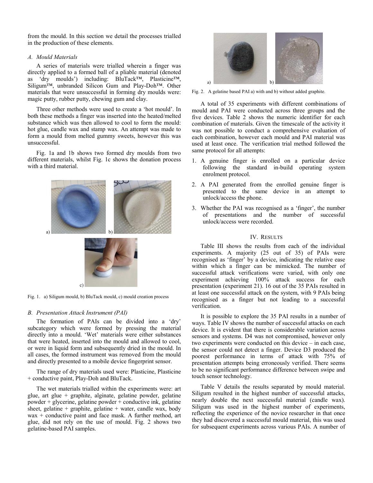from the mould. In this section we detail the processes trialled in the production of these elements.

#### *A. Mould Materials*

A series of materials were trialled wherein a finger was directly applied to a formed ball of a pliable material (denoted as 'dry moulds') including:  $BluTack^{TM}$ , Plasticine<sup>TM</sup>, Siligum<sup>TM</sup>, unbranded Silicon Gum and Play-Doh<sup>TM</sup>. Other materials that were unsuccessful in forming dry moulds were: magic putty, rubber putty, chewing gum and clay.

Three other methods were used to create a 'hot mould'. In both these methods a finger was inserted into the heated/melted substance which was then allowed to cool to form the mould: hot glue, candle wax and stamp wax. An attempt was made to form a mould from melted gummy sweets, however this was unsuccessful.

Fig. 1a and 1b shows two formed dry moulds from two different materials, whilst Fig. 1c shows the donation process with a third material.



Fig. 1. a) Siligum mould, b) BluTack mould, c) mould creation process

#### *B. Presentation Attack Instrument (PAI)*

The formation of PAIs can be divided into a 'dry' subcategory which were formed by pressing the material directly into a mould. 'Wet' materials were either substances that were heated, inserted into the mould and allowed to cool, or were in liquid form and subsequently dried in the mould. In all cases, the formed instrument was removed from the mould and directly presented to a mobile device fingerprint sensor.

The range of dry materials used were: Plasticine, Plasticine + conductive paint, Play-Doh and BluTack.

The wet materials trialled within the experiments were: art glue, art glue + graphite, alginate, gelatine powder, gelatine powder + glycerine, gelatine powder + conductive ink, gelatine sheet, gelatine + graphite, gelatine + water, candle wax, body wax + conductive paint and face mask. A further method, art glue, did not rely on the use of mould. Fig. 2 shows two gelatine-based PAI samples.



Fig. 2. A gelatine based PAI a) with and b) without added graphite.

A total of 35 experiments with different combinations of mould and PAI were conducted across three groups and the five devices. Table 2 shows the numeric identifier for each combination of materials. Given the timescale of the activity it was not possible to conduct a comprehensive evaluation of each combination, however each mould and PAI material was used at least once. The verification trial method followed the same protocol for all attempts:

- 1. A genuine finger is enrolled on a particular device following the standard in-build operating system enrolment protocol.
- 2. A PAI generated from the enrolled genuine finger is presented to the same device in an attempt to unlock/access the phone.
- 3. Whether the PAI was recognised as a 'finger', the number of presentations and the number of successful unlock/access were recorded.

#### IV. RESULTS

Table III shows the results from each of the individual experiments. A majority (25 out of 35) of PAIs were recognised as 'finger' by a device, indicating the relative ease within which a finger can be mimicked. The number of successful attack verifications were varied, with only one experiment achieving 100% attack success for each presentation (experiment 21). 16 out of the 35 PAIs resulted in at least one successful attack on the system, with 9 PAIs being recognised as a finger but not leading to a successful verification.

It is possible to explore the 35 PAI results in a number of ways. Table IV shows the number of successful attacks on each device. It is evident that there is considerable variation across sensors and systems. D4 was not compromised, however only two experiments were conducted on this device  $-$  in each case, the sensor could not detect a finger. Device D3 produced the poorest performance in terms of attack with 75% of presentation attempts being erroneously verified. There seems to be no significant performance difference between swipe and touch sensor technology.

Table V details the results separated by mould material. Siligum resulted in the highest number of successful attacks, nearly double the next successful material (candle wax). Siligum was used in the highest number of experiments, reflecting the experience of the novice researcher in that once they had discovered a successful mould material, this was used for subsequent experiments across various PAIs. A number of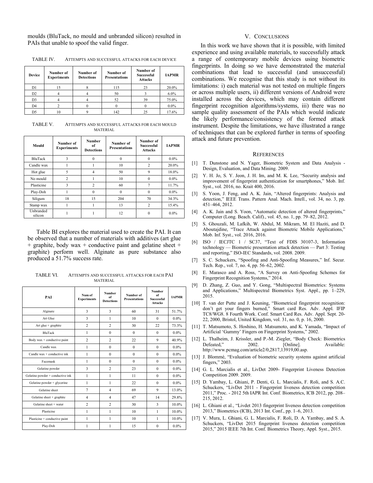moulds (BluTack, no mould and unbranded silicon) resulted in PAIs that unable to spoof the valid finger.

| TABLE IV. |  | ATTEMPTS AND SUCCESSFUL ATTACKS FOR EACH DEVICE |
|-----------|--|-------------------------------------------------|
|-----------|--|-------------------------------------------------|

| <b>Device</b>  | Number of<br><b>Experiments</b> | Number of<br>Number of<br><b>Presentations</b><br><b>Detections</b> |     | Number of<br><b>Successful</b><br><b>Attacks</b> | <b>IAPMR</b> |
|----------------|---------------------------------|---------------------------------------------------------------------|-----|--------------------------------------------------|--------------|
| D1             | 15                              |                                                                     | 115 | 23                                               | 20.0%        |
| D <sub>2</sub> |                                 |                                                                     | 50  |                                                  | $6.0\%$      |
| D <sub>3</sub> |                                 |                                                                     | 52  | 39                                               | 75.0%        |
| D <sub>4</sub> |                                 |                                                                     |     |                                                  | $0.0\%$      |
| D5             | l0                              |                                                                     | 142 |                                                  | 17.6%        |

TABLE V. ATTEMPTS AND SUCCESSFUL ATTACKS FOR EACH MOULD MATERIAL

| Mould                | Number of<br><b>Experiments</b> | <b>Number</b><br>of<br><b>Detections</b> | Number of<br><b>Presentations</b> | Number of<br><b>Successful</b><br><b>Attacks</b> | <b>IAPMR</b> |
|----------------------|---------------------------------|------------------------------------------|-----------------------------------|--------------------------------------------------|--------------|
| <b>BluTack</b>       | 3                               | $\Omega$                                 | $\theta$                          | $\theta$                                         | $0.0\%$      |
| Candle wax           |                                 |                                          | 10                                | $\overline{c}$                                   | 20.0%        |
| Hot glue             | 5                               | 4                                        | 50                                | 9                                                | 18.0%        |
| No mould             | $\overline{2}$                  |                                          | 10                                | $\Omega$                                         | $0.0\%$      |
| Plasticine           | 3                               | $\overline{c}$                           | 60                                | $\overline{7}$                                   | 11.7%        |
| Play-Doh             |                                 | $\theta$                                 | $\theta$                          | $\Omega$                                         | $0.0\%$      |
| Siligum              | 18                              | 15                                       | 204                               | 70                                               | 34.3%        |
| Stamp wax            |                                 |                                          | 13                                | $\overline{c}$                                   | 15.4%        |
| Unbranded<br>silicon |                                 |                                          | 12                                | 0                                                | $0.0\%$      |

Table BI explores the material used to create the PAI. It can be observed that a number of materials with additives (art glue  $+$  graphite, body wax  $+$  conductive paint and gelatine sheet  $+$ graphite) perform well. Alginate as pure substance also produced a 51.7% success rate.

TABLE VI. ATTEMPTS AND SUCCESSFUL ATTACKS FOR EACH PAI MATERIAL

| PAI                              | Num of<br><b>Experiments</b> | <b>Number</b><br>of<br><b>Detections</b> | Number of<br><b>Presentations</b> | <b>Number</b><br>of<br><b>Successful</b><br><b>Attacks</b> | <b>IAPMR</b> |
|----------------------------------|------------------------------|------------------------------------------|-----------------------------------|------------------------------------------------------------|--------------|
| Alginate                         | 3                            | $\overline{\mathbf{3}}$                  | 60                                | 31                                                         | 51.7%        |
| Art Glue                         | 3                            | 1                                        | 10                                | $\theta$                                                   | $0.0\%$      |
| Art glue + graphite              | $\overline{c}$               | $\overline{c}$                           | 30                                | 22                                                         | 73.3%        |
| <b>BluTack</b>                   | $\mathbf{1}$                 | $\theta$                                 | $\Omega$                          | $\Omega$                                                   | $0.0\%$      |
| Body wax + conductive paint      | $\overline{c}$               | $\overline{c}$                           | 22                                | 9                                                          | 40.9%        |
| Candle wax                       | 1                            | $\theta$                                 | $\theta$                          | $\theta$                                                   | $0.0\%$      |
| Candle wax $+$ conductive ink    | 1                            | $\theta$                                 | $\theta$                          | $\Omega$                                                   | $0.0\%$      |
| Facemask                         | $\mathbf{1}$                 | $\theta$                                 | $\theta$                          | $\theta$                                                   | $0.0\%$      |
| Gelatine powder                  | 3                            | $\overline{c}$                           | 23                                | $\theta$                                                   | $0.0\%$      |
| Gelatine powder + conductive ink | $\mathbf{1}$                 | 1                                        | 11                                | $\theta$                                                   | $0.0\%$      |
| Gelatine powder + glycerine      | $\mathbf{1}$                 | 1                                        | 22                                | $\Omega$                                                   | $0.0\%$      |
| Gelatine sheet                   | $\overline{7}$               | $\overline{4}$                           | 69                                | 9                                                          | 13.0%        |
| Gelatine sheet + graphite        | $\overline{4}$               | 4                                        | 47                                | 14                                                         | 29.8%        |
| Gelatine sheet + water           | $\overline{2}$               | $\overline{c}$                           | 30                                | 3                                                          | 10.0%        |
| Plasticine                       | 1                            | 1                                        | 10                                | $\mathbf{1}$                                               | 10.0%        |
| Plasticine + conductive paint    | 1                            | 1                                        | 10                                | 1                                                          | 10.0%        |
| Play-Doh                         | 1                            | 1                                        | 15                                | $\theta$                                                   | $0.0\%$      |

#### V. CONCLUSIONS

In this work we have shown that it is possible, with limited experience and using available materials, to successfully attack a range of contemporary mobile devices using biometric fingerprints. In doing so we have demonstrated the material combinations that lead to successful (and unsuccessful) combinations. We recognise that this study is not without its limitations: i) each material was not tested on multiple fingers or across multiple users, ii) different versions of Android were installed across the devices, which may contain different fingerprint recognition algorithms/systems, iii) there was no sample quality assessment of the PAIs which would indicate the likely performance/consistency of the formed attack instrument. Despite the limitations, we have illustrated a range of techniques that can be explored further in terms of spoofing attack and future prevention.

#### **REFERENCES**

- [1] T. Dunstone and N. Yager, Biometric System and Data Analysis Design, Evaluation, and Data Mining. 2009.
- [2] Y. H. Jo, S. Y. Jeon, J. H. Im, and M. K. Lee, "Security analysis and improvement of fingerprint authentication for smartphones," Mob. Inf. Syst., vol. 2016, no. Krait 400, 2016.
- [3] S. Yoon, J. Feng, and A. K. Jain, "Altered fingerprints: Analysis and detection," IEEE Trans. Pattern Anal. Mach. Intell., vol. 34, no. 3, pp. 451-464, 2012.
- [4] A. K. Jain and S. Yoon, "Automatic detection of altered fingerprints," Computer (Long. Beach. Calif)., vol. 45, no. 1, pp. 79-82, 2012.
- [5] S. Ghouzali, M. Lafkih, W. Abdul, M. Mikram, M. El Haziti, and D. Aboutajdine, "Trace Attack against Biometric Mobile Applications," Mob. Inf. Syst., vol. 2016, 2016.
- [6] ISO / IECJTC 1 / SC37, "Text of FDIS 30107-3, Information technology – Biometric presentation attack detection – Part 3: Testing and reporting," ISO-IEC Standards, vol. 2008. 2009.
- [7] S. C. Schuckers, "Spoofing and Anti-Spoofing Measures," Inf. Secur. Tech. Rep., vol. 7, no. 4, pp. 56–62, 2002.
- [8] E. Marasco and A. Ross, "A Survey on Anti-Spoofing Schemes for Fingerprint Recognition Systems," 2014.
- [9] D. Zhang, Z. Guo, and Y. Gong, "Multispectral Biometrics: Systems and Applications," Multispectral Biometrics Syst. Appl., pp. 1-229, 2015.
- [10] T. van der Putte and J. Keuning, "Biometrical fingerprint recognition: don't get your fingers burned," Smart card Res. Adv. Appl. IFIP TC8/WG8. 8 Fourth Work. Conf. Smart Card Res. Adv. Appl. Sept. 20- 22, 2000, Bristol, United Kingdom, vol. 31, no. 0, p. 16, 2000.
- [11] T. Matsumoto, S. Hoshino, H. Matsumoto, and K. Yamada, "Impact of Artificial 'Gummy' Fingers on Fingerprint Systems," 2002.
- [12] L. Thalheim, J. Krissler, and P.-M. Ziegler, "Body Check: Biometrics<br>Defeated," 2002. [Online]. Available: Defeated," http://www.pcmag.com/article2/0,2817,13919,00.asp.
- [13] J. Blommé, "Evaluation of biometric security systems against artificial fingers," 2003.
- [14] G. L. Marcialis et al., LivDet 2009- Fingerprint Liveness Detection Competition 2009. 2009.
- [15] D. Yambay, L. Ghiani, P. Denti, G. L. Marcialis, F. Roli, and S. A.C. Schuckers, "LivDet 2011 - Fingerprint liveness detection competition 2011," Proc. - 2012 5th IAPR Int. Conf. Biometrics, ICB 2012, pp. 208-215, 2012.
- [16] L. Ghiani et al., "Livdet 2013 fingerprint liveness detection competition 2013," Biometrics (ICB), 2013 Int. Conf., pp. 1-6, 2013.
- [17] V. Mura, L. Ghiani, G. L. Marcialis, F. Roli, D. A. Yambay, and S. A. Schuckers, "LivDet 2015 fingerprint liveness detection competition 2015,î 2015 IEEE 7th Int. Conf. Biometrics Theory, Appl. Syst., 2015.